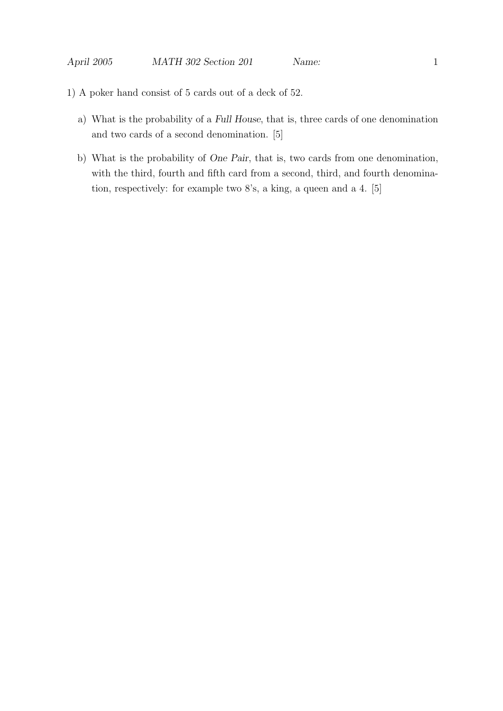- 1) A poker hand consist of 5 cards out of a deck of 52.
	- a) What is the probability of a Full House, that is, three cards of one denomination and two cards of a second denomination. [5]
	- b) What is the probability of One Pair, that is, two cards from one denomination, with the third, fourth and fifth card from a second, third, and fourth denomination, respectively: for example two 8's, a king, a queen and a 4. [5]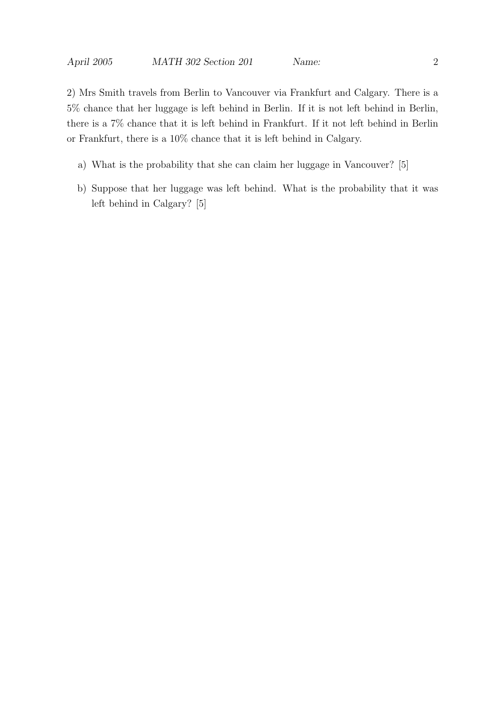2) Mrs Smith travels from Berlin to Vancouver via Frankfurt and Calgary. There is a 5% chance that her luggage is left behind in Berlin. If it is not left behind in Berlin, there is a 7% chance that it is left behind in Frankfurt. If it not left behind in Berlin or Frankfurt, there is a 10% chance that it is left behind in Calgary.

- a) What is the probability that she can claim her luggage in Vancouver? [5]
- b) Suppose that her luggage was left behind. What is the probability that it was left behind in Calgary? [5]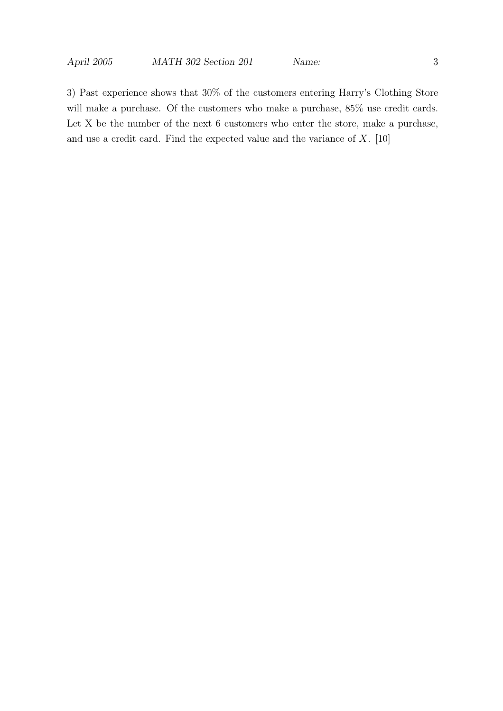3) Past experience shows that 30% of the customers entering Harry's Clothing Store will make a purchase. Of the customers who make a purchase, 85% use credit cards. Let X be the number of the next 6 customers who enter the store, make a purchase, and use a credit card. Find the expected value and the variance of  $X$ . [10]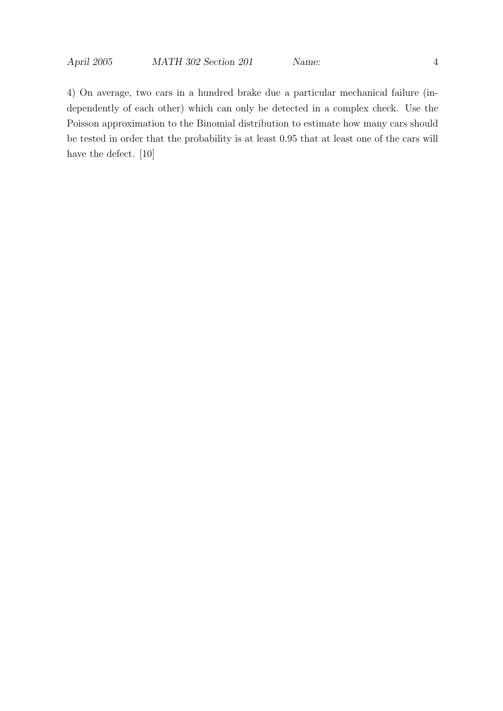4) On average, two cars in a hundred brake due a particular mechanical failure (independently of each other) which can only be detected in a complex check. Use the Poisson approximation to the Binomial distribution to estimate how many cars should be tested in order that the probability is at least 0.95 that at least one of the cars will have the defect. [10]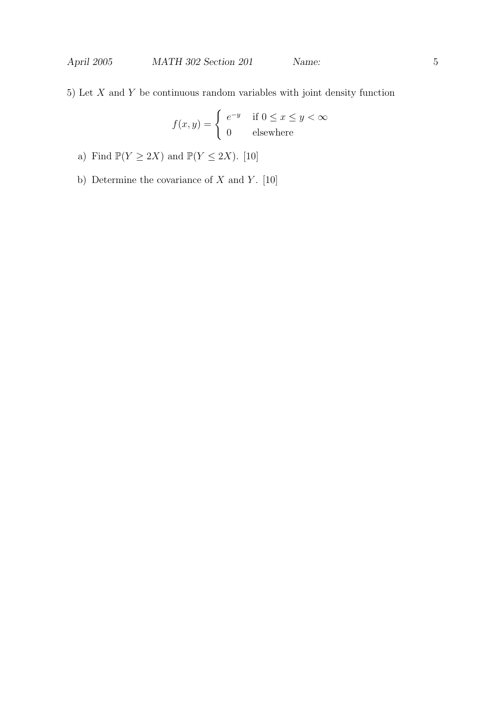5) Let  $X$  and  $Y$  be continuous random variables with joint density function

$$
f(x,y) = \begin{cases} e^{-y} & \text{if } 0 \le x \le y < \infty \\ 0 & \text{elsewhere} \end{cases}
$$

- a) Find  $\mathbb{P}(Y \ge 2X)$  and  $\mathbb{P}(Y \le 2X)$ . [10]
- b) Determine the covariance of  $X$  and  $Y$ . [10]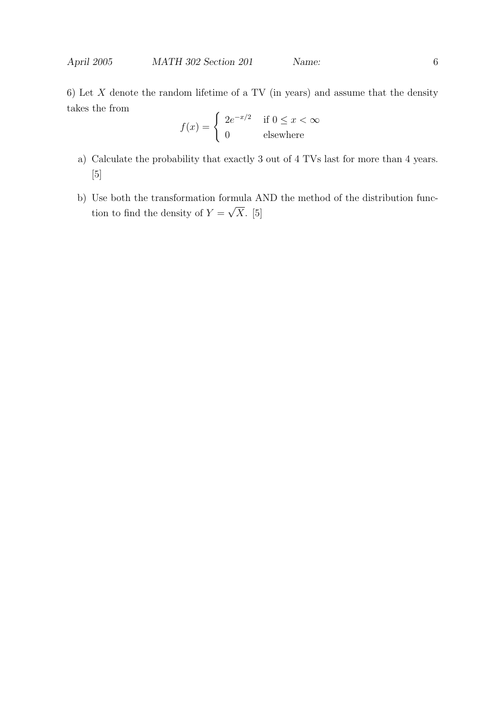6) Let  $X$  denote the random lifetime of a TV (in years) and assume that the density takes the from

$$
f(x) = \begin{cases} 2e^{-x/2} & \text{if } 0 \le x < \infty \\ 0 & \text{elsewhere} \end{cases}
$$

- a) Calculate the probability that exactly 3 out of 4 TVs last for more than 4 years. [5]
- b) Use both the transformation formula AND the method of the distribution function to find the density of  $Y =$ √  $X.$  [5]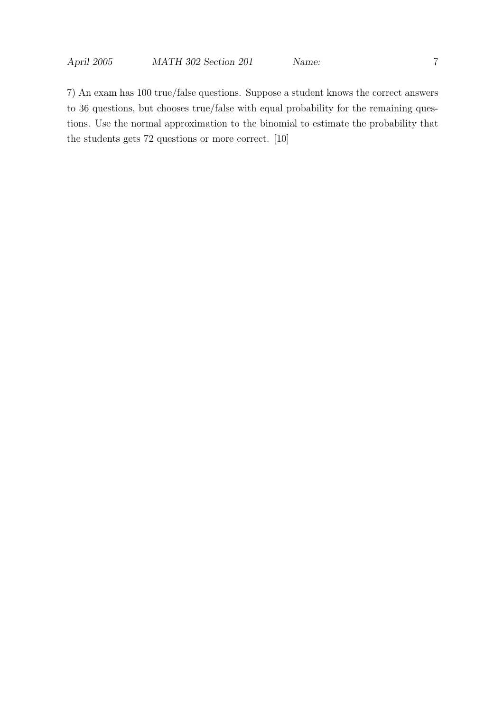7) An exam has 100 true/false questions. Suppose a student knows the correct answers to 36 questions, but chooses true/false with equal probability for the remaining questions. Use the normal approximation to the binomial to estimate the probability that the students gets 72 questions or more correct. [10]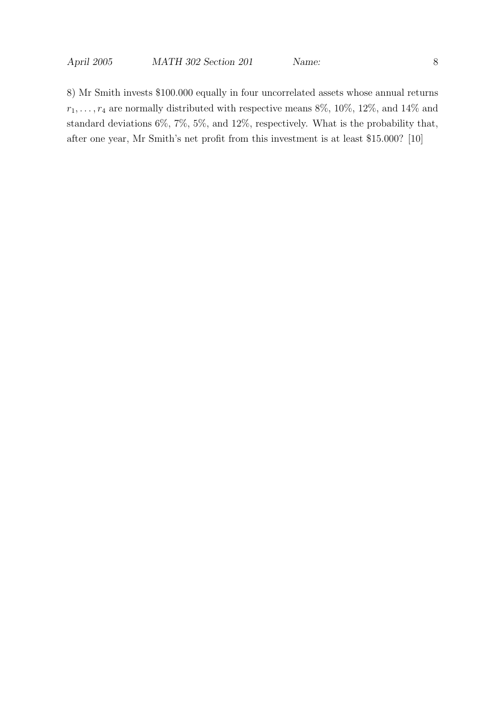8) Mr Smith invests \$100.000 equally in four uncorrelated assets whose annual returns  $r_1, \ldots, r_4$  are normally distributed with respective means 8%, 10%, 12%, and 14% and standard deviations 6%, 7%, 5%, and 12%, respectively. What is the probability that, after one year, Mr Smith's net profit from this investment is at least \$15.000? [10]